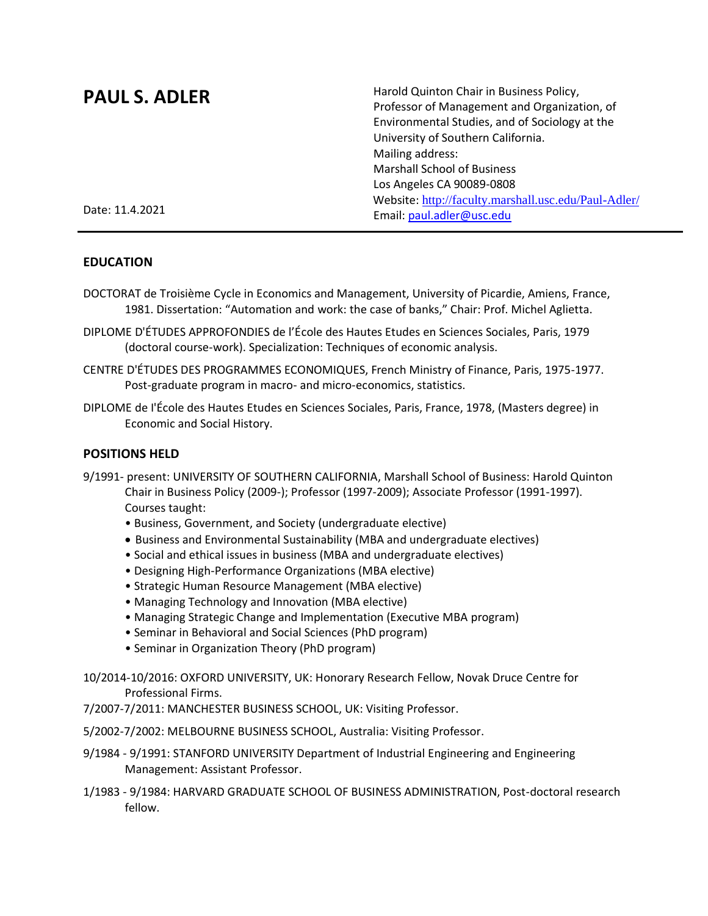# **PAUL S. ADLER**

Harold Quinton Chair in Business Policy, Professor of Management and Organization, of Environmental Studies, and of Sociology at the University of Southern California. Mailing address: Marshall School of Business Los Angeles CA 90089-0808 Website: <http://faculty.marshall.usc.edu/Paul-Adler/> Email: [paul.adler@usc.edu](mailto:paul.adler@usc.edu)

Date: 11.4.2021

## **EDUCATION**

- DOCTORAT de Troisième Cycle in Economics and Management, University of Picardie, Amiens, France, 1981. Dissertation: "Automation and work: the case of banks," Chair: Prof. Michel Aglietta.
- DIPLOME D'ÉTUDES APPROFONDIES de l'École des Hautes Etudes en Sciences Sociales, Paris, 1979 (doctoral course-work). Specialization: Techniques of economic analysis.
- CENTRE D'ÉTUDES DES PROGRAMMES ECONOMIQUES, French Ministry of Finance, Paris, 1975-1977. Post-graduate program in macro- and micro-economics, statistics.
- DIPLOME de I'École des Hautes Etudes en Sciences Sociales, Paris, France, 1978, (Masters degree) in Economic and Social History.

# **POSITIONS HELD**

- 9/1991- present: UNIVERSITY OF SOUTHERN CALIFORNIA, Marshall School of Business: Harold Quinton Chair in Business Policy (2009-); Professor (1997-2009); Associate Professor (1991-1997). Courses taught:
	- Business, Government, and Society (undergraduate elective)
	- Business and Environmental Sustainability (MBA and undergraduate electives)
	- Social and ethical issues in business (MBA and undergraduate electives)
	- Designing High-Performance Organizations (MBA elective)
	- Strategic Human Resource Management (MBA elective)
	- Managing Technology and Innovation (MBA elective)
	- Managing Strategic Change and Implementation (Executive MBA program)
	- Seminar in Behavioral and Social Sciences (PhD program)
	- Seminar in Organization Theory (PhD program)

10/2014-10/2016: OXFORD UNIVERSITY, UK: Honorary Research Fellow, Novak Druce Centre for Professional Firms.

- 7/2007-7/2011: MANCHESTER BUSINESS SCHOOL, UK: Visiting Professor.
- 5/2002-7/2002: MELBOURNE BUSINESS SCHOOL, Australia: Visiting Professor.
- 9/1984 9/1991: STANFORD UNIVERSITY Department of Industrial Engineering and Engineering Management: Assistant Professor.
- 1/1983 9/1984: HARVARD GRADUATE SCHOOL OF BUSINESS ADMINISTRATION, Post-doctoral research fellow.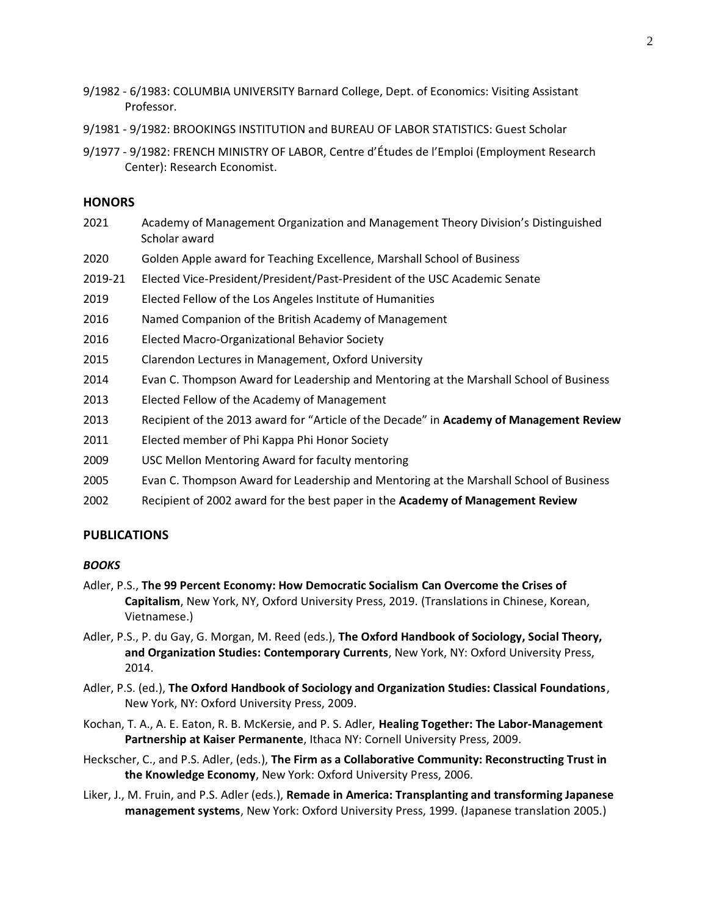- 9/1982 6/1983: COLUMBIA UNIVERSITY Barnard College, Dept. of Economics: Visiting Assistant Professor.
- 9/1981 9/1982: BROOKINGS INSTITUTION and BUREAU OF LABOR STATISTICS: Guest Scholar
- 9/1977 9/1982: FRENCH MINISTRY OF LABOR, Centre d'Études de l'Emploi (Employment Research Center): Research Economist.

#### **HONORS**

- 2021 Academy of Management Organization and Management Theory Division's Distinguished Scholar award
- 2020 Golden Apple award for Teaching Excellence, Marshall School of Business
- 2019-21 Elected Vice-President/President/Past-President of the USC Academic Senate
- 2019 Elected Fellow of the Los Angeles Institute of Humanities
- 2016 Named Companion of the British Academy of Management
- 2016 Elected Macro-Organizational Behavior Society
- 2015 Clarendon Lectures in Management, Oxford University
- 2014 Evan C. Thompson Award for Leadership and Mentoring at the Marshall School of Business
- 2013 Elected Fellow of the Academy of Management
- 2013 Recipient of the 2013 award for "Article of the Decade" in **Academy of Management Review**
- 2011 Elected member of Phi Kappa Phi Honor Society
- 2009 USC Mellon Mentoring Award for faculty mentoring
- 2005 Evan C. Thompson Award for Leadership and Mentoring at the Marshall School of Business
- 2002 Recipient of 2002 award for the best paper in the **Academy of Management Review**

#### **PUBLICATIONS**

# *BOOKS*

- Adler, P.S., **The 99 Percent Economy: How Democratic Socialism Can Overcome the Crises of Capitalism**, New York, NY, Oxford University Press, 2019. (Translations in Chinese, Korean, Vietnamese.)
- Adler, P.S., P. du Gay, G. Morgan, M. Reed (eds.), **The Oxford Handbook of Sociology, Social Theory, and Organization Studies: Contemporary Currents**, New York, NY: Oxford University Press, 2014.
- Adler, P.S. (ed.), **The Oxford Handbook of Sociology and Organization Studies: Classical Foundations**, New York, NY: Oxford University Press, 2009.
- Kochan, T. A., A. E. Eaton, R. B. McKersie, and P. S. Adler, **Healing Together: The Labor-Management Partnership at Kaiser Permanente**, Ithaca NY: Cornell University Press, 2009.
- Heckscher, C., and P.S. Adler, (eds.), **The Firm as a Collaborative Community: Reconstructing Trust in the Knowledge Economy**, New York: Oxford University Press, 2006.
- Liker, J., M. Fruin, and P.S. Adler (eds.), **Remade in America: Transplanting and transforming Japanese management systems**, New York: Oxford University Press, 1999. (Japanese translation 2005.)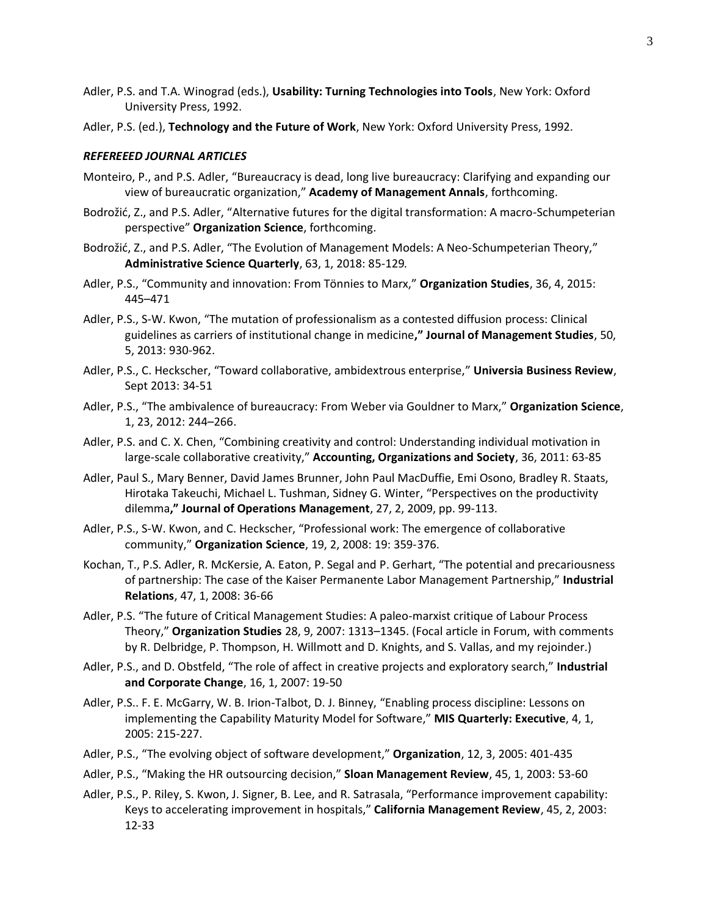- Adler, P.S. and T.A. Winograd (eds.), **Usability: Turning Technologies into Tools**, New York: Oxford University Press, 1992.
- Adler, P.S. (ed.), **Technology and the Future of Work**, New York: Oxford University Press, 1992.

## *REFEREEED JOURNAL ARTICLES*

- Monteiro, P., and P.S. Adler, "Bureaucracy is dead, long live bureaucracy: Clarifying and expanding our view of bureaucratic organization," **Academy of Management Annals**, forthcoming.
- Bodrožić, Z., and P.S. Adler, "Alternative futures for the digital transformation: A macro-Schumpeterian perspective" **Organization Science**, forthcoming.
- Bodrožić, Z., and P.S. Adler, "The Evolution of Management Models: A Neo-Schumpeterian Theory," **Administrative Science Quarterly**, 63, 1, 2018: 85-129*.*
- Adler, P.S., "Community and innovation: From Tönnies to Marx," **Organization Studies**, 36, 4, 2015: 445–471
- Adler, P.S., S-W. Kwon, "The mutation of professionalism as a contested diffusion process: Clinical guidelines as carriers of institutional change in medicine**," Journal of Management Studies**, 50, 5, 2013: 930-962.
- Adler, P.S., C. Heckscher, "Toward collaborative, ambidextrous enterprise," **Universia Business Review**, Sept 2013: 34-51
- Adler, P.S., "The ambivalence of bureaucracy: From Weber via Gouldner to Marx," **Organization Science**, 1, 23, 2012: 244–266.
- Adler, P.S. and C. X. Chen, "Combining creativity and control: Understanding individual motivation in large-scale collaborative creativity," **Accounting, Organizations and Society**, 36, 2011: 63-85
- Adler, Paul S., Mary Benner, David James Brunner, John Paul MacDuffie, Emi Osono, Bradley R. Staats, Hirotaka Takeuchi, Michael L. Tushman, Sidney G. Winter, "Perspectives on the productivity dilemma**," Journal of Operations Management**, 27, 2, 2009, pp. 99-113.
- Adler, P.S., S-W. Kwon, and C. Heckscher, "Professional work: The emergence of collaborative community," **Organization Science**, 19, 2, 2008: 19: 359-376.
- Kochan, T., P.S. Adler, R. McKersie, A. Eaton, P. Segal and P. Gerhart, "The potential and precariousness of partnership: The case of the Kaiser Permanente Labor Management Partnership," **Industrial Relations**, 47, 1, 2008: 36-66
- Adler, P.S. "The future of Critical Management Studies: A paleo-marxist critique of Labour Process Theory," **Organization Studies** 28, 9, 2007: 1313–1345. (Focal article in Forum, with comments by R. Delbridge, P. Thompson, H. Willmott and D. Knights, and S. Vallas, and my rejoinder.)
- Adler, P.S., and D. Obstfeld, "The role of affect in creative projects and exploratory search," **Industrial and Corporate Change**, 16, 1, 2007: 19-50
- Adler, P.S.. F. E. McGarry, W. B. Irion-Talbot, D. J. Binney, "Enabling process discipline: Lessons on implementing the Capability Maturity Model for Software," **MIS Quarterly: Executive**, 4, 1, 2005: 215-227.
- Adler, P.S., "The evolving object of software development," **Organization**, 12, 3, 2005: 401-435
- Adler, P.S., "Making the HR outsourcing decision," **Sloan Management Review**, 45, 1, 2003: 53-60
- Adler, P.S., P. Riley, S. Kwon, J. Signer, B. Lee, and R. Satrasala, "Performance improvement capability: Keys to accelerating improvement in hospitals," **California Management Review**, 45, 2, 2003: 12-33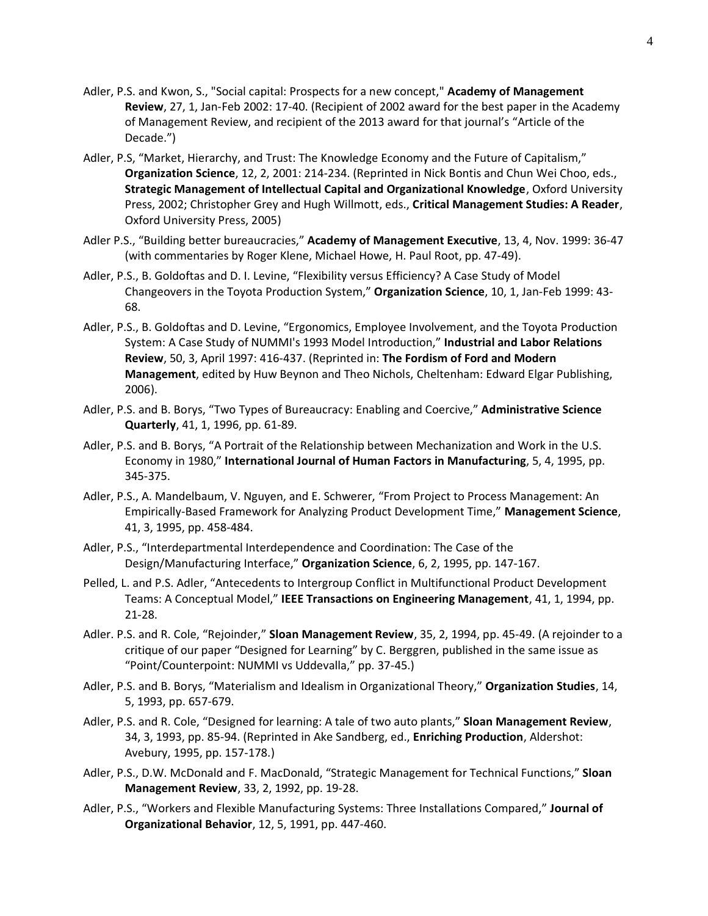- Adler, P.S. and Kwon, S., "Social capital: Prospects for a new concept," **Academy of Management Review**, 27, 1, Jan-Feb 2002: 17-40. (Recipient of 2002 award for the best paper in the Academy of Management Review, and recipient of the 2013 award for that journal's "Article of the Decade.")
- Adler, P.S, "Market, Hierarchy, and Trust: The Knowledge Economy and the Future of Capitalism," **Organization Science**, 12, 2, 2001: 214-234. (Reprinted in Nick Bontis and Chun Wei Choo, eds., **Strategic Management of Intellectual Capital and Organizational Knowledge**, Oxford University Press, 2002; Christopher Grey and Hugh Willmott, eds., **Critical Management Studies: A Reader**, Oxford University Press, 2005)
- Adler P.S., "Building better bureaucracies," **Academy of Management Executive**, 13, 4, Nov. 1999: 36-47 (with commentaries by Roger Klene, Michael Howe, H. Paul Root, pp. 47-49).
- Adler, P.S., B. Goldoftas and D. I. Levine, "Flexibility versus Efficiency? A Case Study of Model Changeovers in the Toyota Production System," **Organization Science**, 10, 1, Jan-Feb 1999: 43- 68.
- Adler, P.S., B. Goldoftas and D. Levine, "Ergonomics, Employee Involvement, and the Toyota Production System: A Case Study of NUMMI's 1993 Model Introduction," **Industrial and Labor Relations Review**, 50, 3, April 1997: 416-437. (Reprinted in: **The Fordism of Ford and Modern Management**, edited by Huw Beynon and Theo Nichols, Cheltenham: Edward Elgar Publishing, 2006).
- Adler, P.S. and B. Borys, "Two Types of Bureaucracy: Enabling and Coercive," **Administrative Science Quarterly**, 41, 1, 1996, pp. 61-89.
- Adler, P.S. and B. Borys, "A Portrait of the Relationship between Mechanization and Work in the U.S. Economy in 1980," **International Journal of Human Factors in Manufacturing**, 5, 4, 1995, pp. 345-375.
- Adler, P.S., A. Mandelbaum, V. Nguyen, and E. Schwerer, "From Project to Process Management: An Empirically-Based Framework for Analyzing Product Development Time," **Management Science**, 41, 3, 1995, pp. 458-484.
- Adler, P.S., "Interdepartmental Interdependence and Coordination: The Case of the Design/Manufacturing Interface," **Organization Science**, 6, 2, 1995, pp. 147-167.
- Pelled, L. and P.S. Adler, "Antecedents to Intergroup Conflict in Multifunctional Product Development Teams: A Conceptual Model," **IEEE Transactions on Engineering Management**, 41, 1, 1994, pp. 21-28.
- Adler. P.S. and R. Cole, "Rejoinder," **Sloan Management Review**, 35, 2, 1994, pp. 45-49. (A rejoinder to a critique of our paper "Designed for Learning" by C. Berggren, published in the same issue as "Point/Counterpoint: NUMMI vs Uddevalla," pp. 37-45.)
- Adler, P.S. and B. Borys, "Materialism and Idealism in Organizational Theory," **Organization Studies**, 14, 5, 1993, pp. 657-679.
- Adler, P.S. and R. Cole, "Designed for learning: A tale of two auto plants," **Sloan Management Review**, 34, 3, 1993, pp. 85-94. (Reprinted in Ake Sandberg, ed., **Enriching Production**, Aldershot: Avebury, 1995, pp. 157-178.)
- Adler, P.S., D.W. McDonald and F. MacDonald, "Strategic Management for Technical Functions," **Sloan Management Review**, 33, 2, 1992, pp. 19-28.
- Adler, P.S., "Workers and Flexible Manufacturing Systems: Three Installations Compared," **Journal of Organizational Behavior**, 12, 5, 1991, pp. 447-460.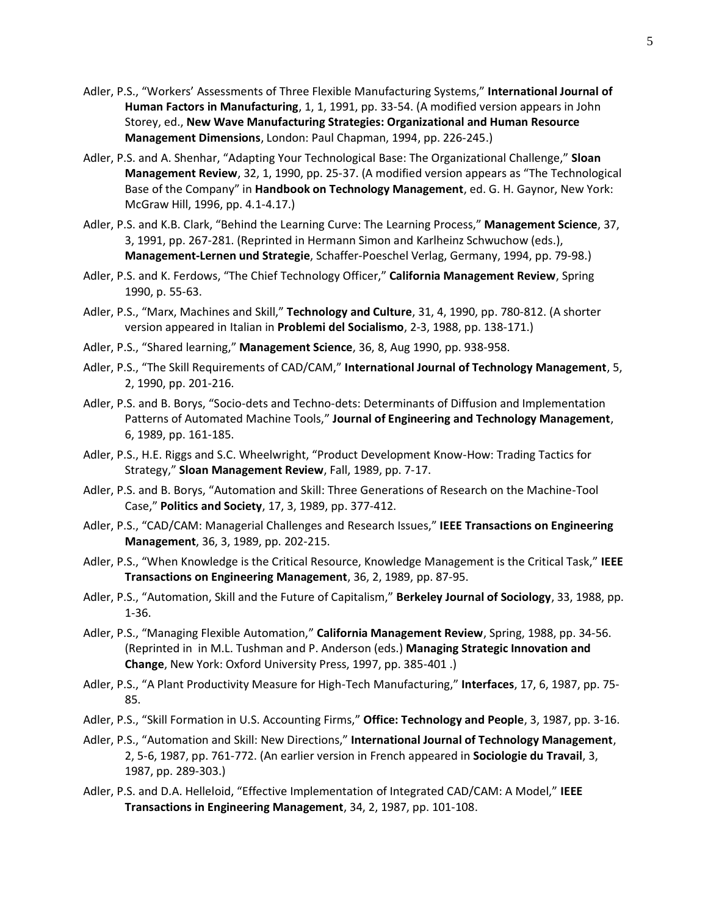- Adler, P.S., "Workers' Assessments of Three Flexible Manufacturing Systems," **International Journal of Human Factors in Manufacturing**, 1, 1, 1991, pp. 33-54. (A modified version appears in John Storey, ed., **New Wave Manufacturing Strategies: Organizational and Human Resource Management Dimensions**, London: Paul Chapman, 1994, pp. 226-245.)
- Adler, P.S. and A. Shenhar, "Adapting Your Technological Base: The Organizational Challenge," **Sloan Management Review**, 32, 1, 1990, pp. 25-37. (A modified version appears as "The Technological Base of the Company" in **Handbook on Technology Management**, ed. G. H. Gaynor, New York: McGraw Hill, 1996, pp. 4.1-4.17.)
- Adler, P.S. and K.B. Clark, "Behind the Learning Curve: The Learning Process," **Management Science**, 37, 3, 1991, pp. 267-281. (Reprinted in Hermann Simon and Karlheinz Schwuchow (eds.), **Management-Lernen und Strategie**, Schaffer-Poeschel Verlag, Germany, 1994, pp. 79-98.)
- Adler, P.S. and K. Ferdows, "The Chief Technology Officer," **California Management Review**, Spring 1990, p. 55-63.
- Adler, P.S., "Marx, Machines and Skill," **Technology and Culture**, 31, 4, 1990, pp. 780-812. (A shorter version appeared in Italian in **Problemi del Socialismo**, 2-3, 1988, pp. 138-171.)
- Adler, P.S., "Shared learning," **Management Science**, 36, 8, Aug 1990, pp. 938-958.
- Adler, P.S., "The Skill Requirements of CAD/CAM," **International Journal of Technology Management**, 5, 2, 1990, pp. 201-216.
- Adler, P.S. and B. Borys, "Socio-dets and Techno-dets: Determinants of Diffusion and Implementation Patterns of Automated Machine Tools," **Journal of Engineering and Technology Management**, 6, 1989, pp. 161-185.
- Adler, P.S., H.E. Riggs and S.C. Wheelwright, "Product Development Know-How: Trading Tactics for Strategy," **Sloan Management Review**, Fall, 1989, pp. 7-17.
- Adler, P.S. and B. Borys, "Automation and Skill: Three Generations of Research on the Machine-Tool Case," **Politics and Society**, 17, 3, 1989, pp. 377-412.
- Adler, P.S., "CAD/CAM: Managerial Challenges and Research Issues," **IEEE Transactions on Engineering Management**, 36, 3, 1989, pp. 202-215.
- Adler, P.S., "When Knowledge is the Critical Resource, Knowledge Management is the Critical Task," **IEEE Transactions on Engineering Management**, 36, 2, 1989, pp. 87-95.
- Adler, P.S., "Automation, Skill and the Future of Capitalism," **Berkeley Journal of Sociology**, 33, 1988, pp. 1-36.
- Adler, P.S., "Managing Flexible Automation," **California Management Review**, Spring, 1988, pp. 34-56. (Reprinted in in M.L. Tushman and P. Anderson (eds.) **Managing Strategic Innovation and Change**, New York: Oxford University Press, 1997, pp. 385-401 .)
- Adler, P.S., "A Plant Productivity Measure for High-Tech Manufacturing," **Interfaces**, 17, 6, 1987, pp. 75- 85.
- Adler, P.S., "Skill Formation in U.S. Accounting Firms," **Office: Technology and People**, 3, 1987, pp. 3-16.
- Adler, P.S., "Automation and Skill: New Directions," **International Journal of Technology Management**, 2, 5-6, 1987, pp. 761-772. (An earlier version in French appeared in **Sociologie du Travail**, 3, 1987, pp. 289-303.)
- Adler, P.S. and D.A. Helleloid, "Effective Implementation of Integrated CAD/CAM: A Model," **IEEE Transactions in Engineering Management**, 34, 2, 1987, pp. 101-108.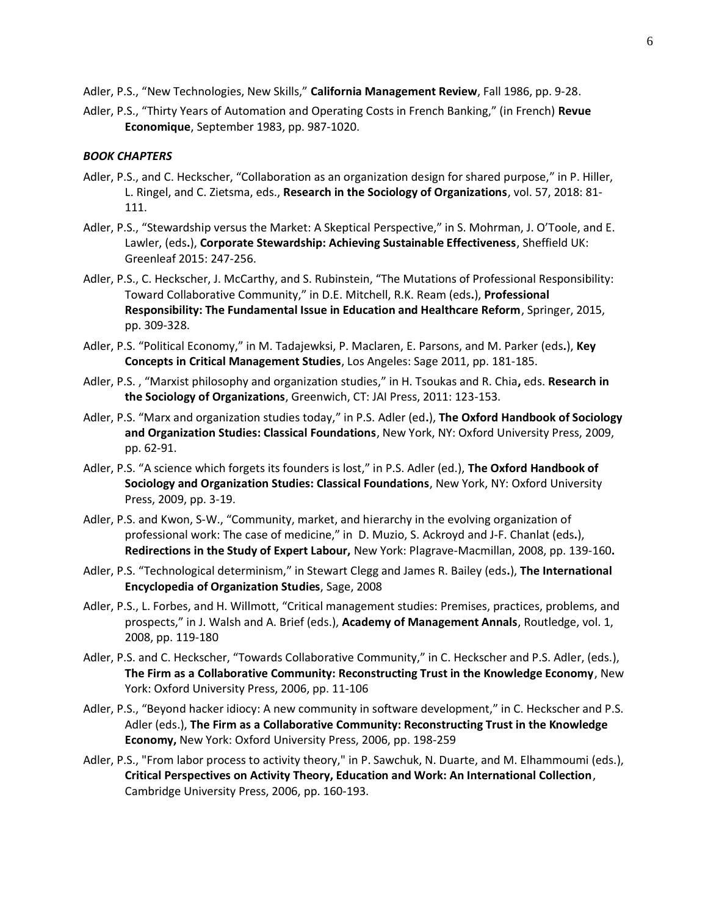Adler, P.S., "New Technologies, New Skills," **California Management Review**, Fall 1986, pp. 9-28.

Adler, P.S., "Thirty Years of Automation and Operating Costs in French Banking," (in French) **Revue Economique**, September 1983, pp. 987-1020.

## *BOOK CHAPTERS*

- Adler, P.S., and C. Heckscher, "Collaboration as an organization design for shared purpose," in P. Hiller, L. Ringel, and C. Zietsma, eds., **Research in the Sociology of Organizations**, vol. 57, 2018: 81- 111.
- Adler, P.S., "Stewardship versus the Market: A Skeptical Perspective," in S. Mohrman, J. O'Toole, and E. Lawler, (eds**.**), **Corporate Stewardship: Achieving Sustainable Effectiveness**, Sheffield UK: Greenleaf 2015: 247-256.
- Adler, P.S., C. Heckscher, J. McCarthy, and S. Rubinstein, "The Mutations of Professional Responsibility: Toward Collaborative Community," in D.E. Mitchell, R.K. Ream (eds**.**), **Professional Responsibility: The Fundamental Issue in Education and Healthcare Reform**, Springer, 2015, pp. 309-328.
- Adler, P.S. "Political Economy," in M. Tadajewksi, P. Maclaren, E. Parsons, and M. Parker (eds**.**), **Key Concepts in Critical Management Studies**, Los Angeles: Sage 2011, pp. 181-185.
- Adler, P.S. , "Marxist philosophy and organization studies," in H. Tsoukas and R. Chia**,** eds. **Research in the Sociology of Organizations**, Greenwich, CT: JAI Press, 2011: 123-153.
- Adler, P.S. "Marx and organization studies today," in P.S. Adler (ed**.**), **The Oxford Handbook of Sociology and Organization Studies: Classical Foundations**, New York, NY: Oxford University Press, 2009, pp. 62-91.
- Adler, P.S. "A science which forgets its founders is lost," in P.S. Adler (ed.), **The Oxford Handbook of Sociology and Organization Studies: Classical Foundations**, New York, NY: Oxford University Press, 2009, pp. 3-19.
- Adler, P.S. and Kwon, S-W., "Community, market, and hierarchy in the evolving organization of professional work: The case of medicine," in D. Muzio, S. Ackroyd and J-F. Chanlat (eds**.**), **Redirections in the Study of Expert Labour,** New York: Plagrave-Macmillan, 2008, pp. 139-160**.**
- Adler, P.S. "Technological determinism," in Stewart Clegg and James R. Bailey (eds**.**), **The International Encyclopedia of Organization Studies**, Sage, 2008
- Adler, P.S., L. Forbes, and H. Willmott, "Critical management studies: Premises, practices, problems, and prospects," in J. Walsh and A. Brief (eds.), **Academy of Management Annals**, Routledge, vol. 1, 2008, pp. 119-180
- Adler, P.S. and C. Heckscher, "Towards Collaborative Community," in C. Heckscher and P.S. Adler, (eds.), **The Firm as a Collaborative Community: Reconstructing Trust in the Knowledge Economy**, New York: Oxford University Press, 2006, pp. 11-106
- Adler, P.S., "Beyond hacker idiocy: A new community in software development," in C. Heckscher and P.S. Adler (eds.), **The Firm as a Collaborative Community: Reconstructing Trust in the Knowledge Economy,** New York: Oxford University Press, 2006, pp. 198-259
- Adler, P.S., "From labor process to activity theory," in P. Sawchuk, N. Duarte, and M. Elhammoumi (eds.), **Critical Perspectives on Activity Theory, Education and Work: An International Collection**, Cambridge University Press, 2006, pp. 160-193.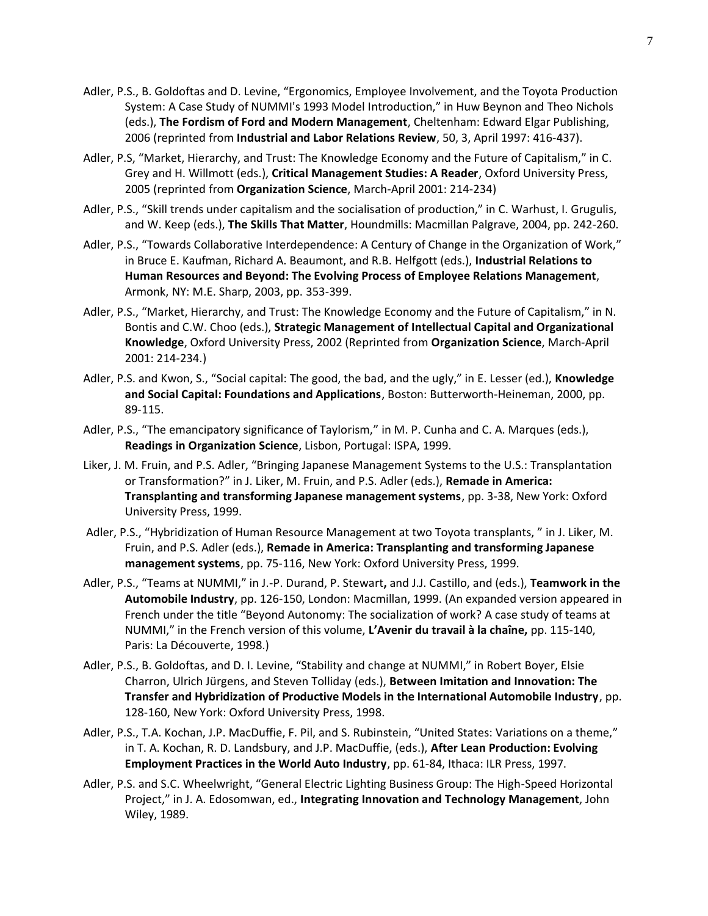- Adler, P.S., B. Goldoftas and D. Levine, "Ergonomics, Employee Involvement, and the Toyota Production System: A Case Study of NUMMI's 1993 Model Introduction," in Huw Beynon and Theo Nichols (eds.), **The Fordism of Ford and Modern Management**, Cheltenham: Edward Elgar Publishing, 2006 (reprinted from **Industrial and Labor Relations Review**, 50, 3, April 1997: 416-437).
- Adler, P.S, "Market, Hierarchy, and Trust: The Knowledge Economy and the Future of Capitalism," in C. Grey and H. Willmott (eds.), **Critical Management Studies: A Reader**, Oxford University Press, 2005 (reprinted from **Organization Science**, March-April 2001: 214-234)
- Adler, P.S., "Skill trends under capitalism and the socialisation of production," in C. Warhust, I. Grugulis, and W. Keep (eds.), **The Skills That Matter**, Houndmills: Macmillan Palgrave, 2004, pp. 242-260.
- Adler, P.S., "Towards Collaborative Interdependence: A Century of Change in the Organization of Work," in Bruce E. Kaufman, Richard A. Beaumont, and R.B. Helfgott (eds.), **Industrial Relations to Human Resources and Beyond: The Evolving Process of Employee Relations Management**, Armonk, NY: M.E. Sharp, 2003, pp. 353-399.
- Adler, P.S., "Market, Hierarchy, and Trust: The Knowledge Economy and the Future of Capitalism," in N. Bontis and C.W. Choo (eds.), **Strategic Management of Intellectual Capital and Organizational Knowledge**, Oxford University Press, 2002 (Reprinted from **Organization Science**, March-April 2001: 214-234.)
- Adler, P.S. and Kwon, S., "Social capital: The good, the bad, and the ugly," in E. Lesser (ed.), **Knowledge and Social Capital: Foundations and Applications**, Boston: Butterworth-Heineman, 2000, pp. 89-115.
- Adler, P.S., "The emancipatory significance of Taylorism," in M. P. Cunha and C. A. Marques (eds.), **Readings in Organization Science**, Lisbon, Portugal: ISPA, 1999.
- Liker, J. M. Fruin, and P.S. Adler, "Bringing Japanese Management Systems to the U.S.: Transplantation or Transformation?" in J. Liker, M. Fruin, and P.S. Adler (eds.), **Remade in America: Transplanting and transforming Japanese management systems**, pp. 3-38, New York: Oxford University Press, 1999.
- Adler, P.S., "Hybridization of Human Resource Management at two Toyota transplants, " in J. Liker, M. Fruin, and P.S. Adler (eds.), **Remade in America: Transplanting and transforming Japanese management systems**, pp. 75-116, New York: Oxford University Press, 1999.
- Adler, P.S., "Teams at NUMMI," in J.-P. Durand, P. Stewart**,** and J.J. Castillo, and (eds.), **Teamwork in the Automobile Industry**, pp. 126-150, London: Macmillan, 1999. (An expanded version appeared in French under the title "Beyond Autonomy: The socialization of work? A case study of teams at NUMMI," in the French version of this volume, **L'Avenir du travail à la chaîne,** pp. 115-140, Paris: La Découverte, 1998.)
- Adler, P.S., B. Goldoftas, and D. I. Levine, "Stability and change at NUMMI," in Robert Boyer, Elsie Charron, Ulrich Jürgens, and Steven Tolliday (eds.), **Between Imitation and Innovation: The Transfer and Hybridization of Productive Models in the International Automobile Industry**, pp. 128-160, New York: Oxford University Press, 1998.
- Adler, P.S., T.A. Kochan, J.P. MacDuffie, F. Pil, and S. Rubinstein, "United States: Variations on a theme," in T. A. Kochan, R. D. Landsbury, and J.P. MacDuffie, (eds.), **After Lean Production: Evolving Employment Practices in the World Auto Industry**, pp. 61-84, Ithaca: ILR Press, 1997.
- Adler, P.S. and S.C. Wheelwright, "General Electric Lighting Business Group: The High-Speed Horizontal Project," in J. A. Edosomwan, ed., **Integrating Innovation and Technology Management**, John Wiley, 1989.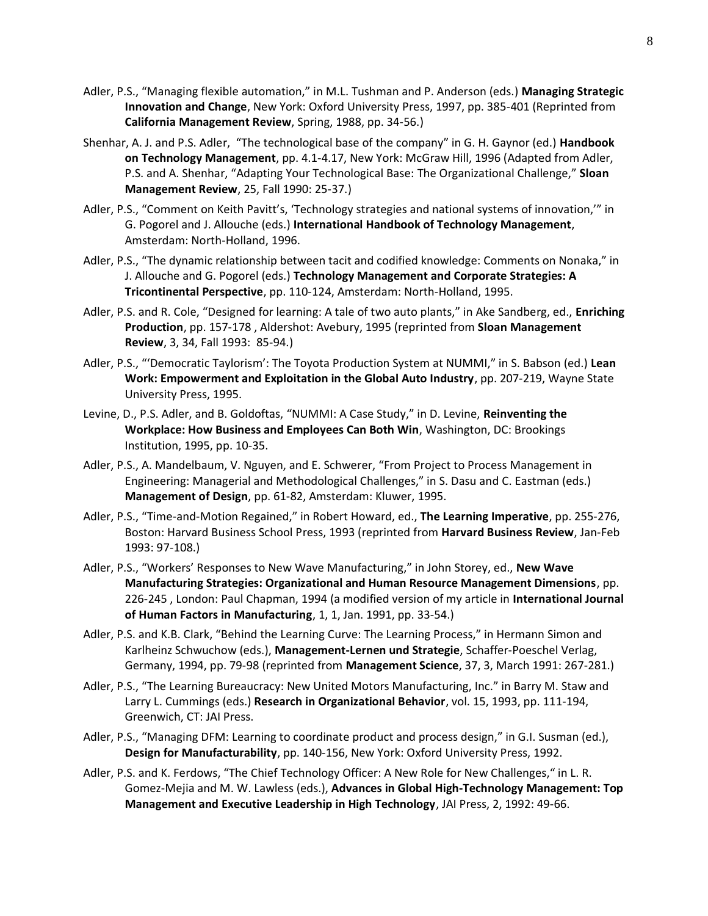- Adler, P.S., "Managing flexible automation," in M.L. Tushman and P. Anderson (eds.) **Managing Strategic Innovation and Change**, New York: Oxford University Press, 1997, pp. 385-401 (Reprinted from **California Management Review**, Spring, 1988, pp. 34-56.)
- Shenhar, A. J. and P.S. Adler, "The technological base of the company" in G. H. Gaynor (ed.) **Handbook on Technology Management**, pp. 4.1-4.17, New York: McGraw Hill, 1996 (Adapted from Adler, P.S. and A. Shenhar, "Adapting Your Technological Base: The Organizational Challenge," **Sloan Management Review**, 25, Fall 1990: 25-37.)
- Adler, P.S., "Comment on Keith Pavitt's, 'Technology strategies and national systems of innovation,'" in G. Pogorel and J. Allouche (eds.) **International Handbook of Technology Management**, Amsterdam: North-Holland, 1996.
- Adler, P.S., "The dynamic relationship between tacit and codified knowledge: Comments on Nonaka," in J. Allouche and G. Pogorel (eds.) **Technology Management and Corporate Strategies: A Tricontinental Perspective**, pp. 110-124, Amsterdam: North-Holland, 1995.
- Adler, P.S. and R. Cole, "Designed for learning: A tale of two auto plants," in Ake Sandberg, ed., **Enriching Production**, pp. 157-178 , Aldershot: Avebury, 1995 (reprinted from **Sloan Management Review**, 3, 34, Fall 1993: 85-94.)
- Adler, P.S., "'Democratic Taylorism': The Toyota Production System at NUMMI," in S. Babson (ed.) **Lean Work: Empowerment and Exploitation in the Global Auto Industry**, pp. 207-219, Wayne State University Press, 1995.
- Levine, D., P.S. Adler, and B. Goldoftas, "NUMMI: A Case Study," in D. Levine, **Reinventing the Workplace: How Business and Employees Can Both Win**, Washington, DC: Brookings Institution, 1995, pp. 10-35.
- Adler, P.S., A. Mandelbaum, V. Nguyen, and E. Schwerer, "From Project to Process Management in Engineering: Managerial and Methodological Challenges," in S. Dasu and C. Eastman (eds.) **Management of Design**, pp. 61-82, Amsterdam: Kluwer, 1995.
- Adler, P.S., "Time-and-Motion Regained," in Robert Howard, ed., **The Learning Imperative**, pp. 255-276, Boston: Harvard Business School Press, 1993 (reprinted from **Harvard Business Review**, Jan-Feb 1993: 97-108.)
- Adler, P.S., "Workers' Responses to New Wave Manufacturing," in John Storey, ed., **New Wave Manufacturing Strategies: Organizational and Human Resource Management Dimensions**, pp. 226-245 , London: Paul Chapman, 1994 (a modified version of my article in **International Journal of Human Factors in Manufacturing**, 1, 1, Jan. 1991, pp. 33-54.)
- Adler, P.S. and K.B. Clark, "Behind the Learning Curve: The Learning Process," in Hermann Simon and Karlheinz Schwuchow (eds.), **Management-Lernen und Strategie**, Schaffer-Poeschel Verlag, Germany, 1994, pp. 79-98 (reprinted from **Management Science**, 37, 3, March 1991: 267-281.)
- Adler, P.S., "The Learning Bureaucracy: New United Motors Manufacturing, Inc." in Barry M. Staw and Larry L. Cummings (eds.) **Research in Organizational Behavior**, vol. 15, 1993, pp. 111-194, Greenwich, CT: JAI Press.
- Adler, P.S., "Managing DFM: Learning to coordinate product and process design," in G.I. Susman (ed.), **Design for Manufacturability**, pp. 140-156, New York: Oxford University Press, 1992.
- Adler, P.S. and K. Ferdows, "The Chief Technology Officer: A New Role for New Challenges," in L. R. Gomez-Mejia and M. W. Lawless (eds.), **Advances in Global High-Technology Management: Top Management and Executive Leadership in High Technology**, JAI Press, 2, 1992: 49-66.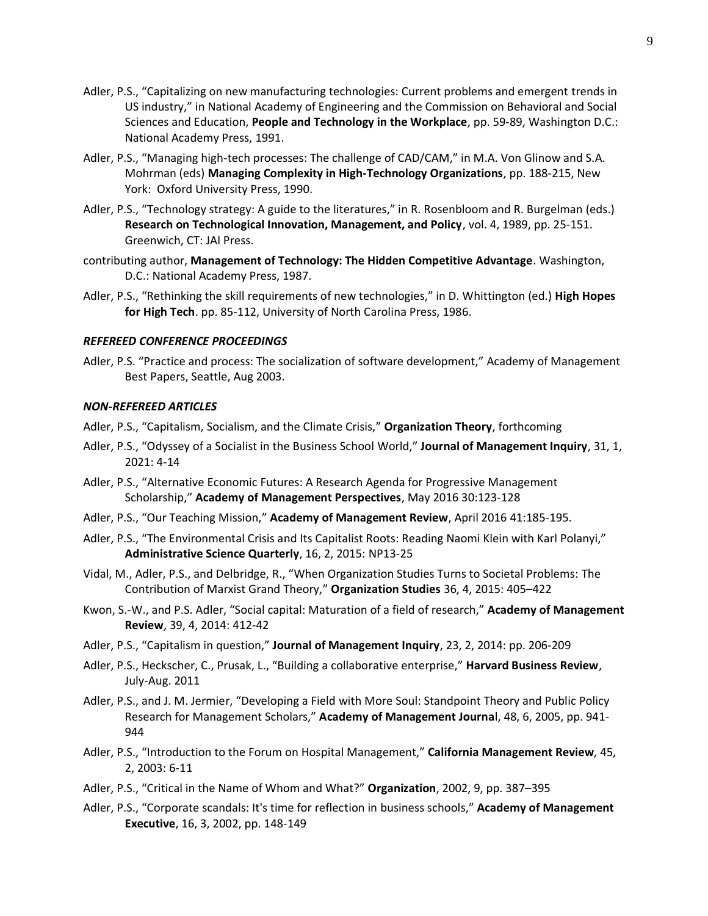- Adler, P.S., "Capitalizing on new manufacturing technologies: Current problems and emergent trends in US industry," in National Academy of Engineering and the Commission on Behavioral and Social Sciences and Education, **People and Technology in the Workplace**, pp. 59-89, Washington D.C.: National Academy Press, 1991.
- Adler, P.S., "Managing high-tech processes: The challenge of CAD/CAM," in M.A. Von Glinow and S.A. Mohrman (eds) **Managing Complexity in High-Technology Organizations**, pp. 188-215, New York: Oxford University Press, 1990.
- Adler, P.S., "Technology strategy: A guide to the literatures," in R. Rosenbloom and R. Burgelman (eds.) **Research on Technological Innovation, Management, and Policy**, vol. 4, 1989, pp. 25-151. Greenwich, CT: JAI Press.
- contributing author, **Management of Technology: The Hidden Competitive Advantage**. Washington, D.C.: National Academy Press, 1987.
- Adler, P.S., "Rethinking the skill requirements of new technologies," in D. Whittington (ed.) **High Hopes for High Tech**. pp. 85-112, University of North Carolina Press, 1986.

#### *REFEREED CONFERENCE PROCEEDINGS*

Adler, P.S. "Practice and process: The socialization of software development," Academy of Management Best Papers, Seattle, Aug 2003.

#### *NON-REFEREED ARTICLES*

- Adler, P.S., "Capitalism, Socialism, and the Climate Crisis," **Organization Theory**, forthcoming
- Adler, P.S., "Odyssey of a Socialist in the Business School World," **Journal of Management Inquiry**, 31, 1, 2021: 4-14
- Adler, P.S., "Alternative Economic Futures: A Research Agenda for Progressive Management Scholarship," **Academy of Management Perspectives**, May 2016 30:123-128
- Adler, P.S., "Our Teaching Mission," **Academy of Management Review**, April 2016 41:185-195.
- Adler, P.S., "The Environmental Crisis and Its Capitalist Roots: Reading Naomi Klein with Karl Polanyi," **Administrative Science Quarterly**, 16, 2, 2015: NP13-25
- Vidal, M., Adler, P.S., and Delbridge, R., "When Organization Studies Turns to Societal Problems: The Contribution of Marxist Grand Theory," **Organization Studies** 36, 4, 2015: 405–422
- Kwon, S.-W., and P.S. Adler, "Social capital: Maturation of a field of research," **Academy of Management Review**, 39, 4, 2014: 412-42
- Adler, P.S., "Capitalism in question," **Journal of Management Inquiry**, 23, 2, 2014: pp. 206-209
- Adler, P.S., Heckscher, C., Prusak, L., "Building a collaborative enterprise," **Harvard Business Review**, July-Aug. 2011
- Adler, P.S., and J. M. Jermier, "Developing a Field with More Soul: Standpoint Theory and Public Policy Research for Management Scholars," **Academy of Management Journa**l, 48, 6, 2005, pp. 941- 944
- Adler, P.S., "Introduction to the Forum on Hospital Management," **California Management Review***,* 45, 2, 2003: 6-11
- Adler, P.S., "Critical in the Name of Whom and What?" **Organization**, 2002, 9, pp. 387–395
- Adler, P.S., "Corporate scandals: It's time for reflection in business schools," **Academy of Management Executive**, 16, 3, 2002, pp. 148-149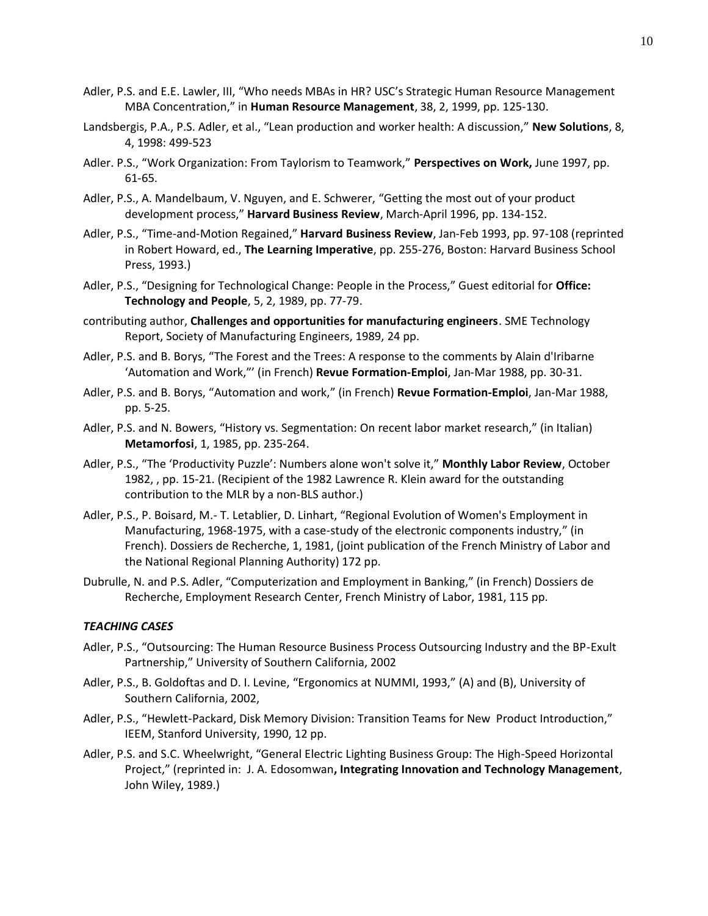- Adler, P.S. and E.E. Lawler, III, "Who needs MBAs in HR? USC's Strategic Human Resource Management MBA Concentration," in **Human Resource Management**, 38, 2, 1999, pp. 125-130.
- Landsbergis, P.A., P.S. Adler, et al., "Lean production and worker health: A discussion," **New Solutions**, 8, 4, 1998: 499-523
- Adler. P.S., "Work Organization: From Taylorism to Teamwork," **Perspectives on Work,** June 1997, pp. 61-65.
- Adler, P.S., A. Mandelbaum, V. Nguyen, and E. Schwerer, "Getting the most out of your product development process," **Harvard Business Review**, March-April 1996, pp. 134-152.
- Adler, P.S., "Time-and-Motion Regained," **Harvard Business Review**, Jan-Feb 1993, pp. 97-108 (reprinted in Robert Howard, ed., **The Learning Imperative**, pp. 255-276, Boston: Harvard Business School Press, 1993.)
- Adler, P.S., "Designing for Technological Change: People in the Process," Guest editorial for **Office: Technology and People**, 5, 2, 1989, pp. 77-79.
- contributing author, **Challenges and opportunities for manufacturing engineers**. SME Technology Report, Society of Manufacturing Engineers, 1989, 24 pp.
- Adler, P.S. and B. Borys, "The Forest and the Trees: A response to the comments by Alain d'Iribarne 'Automation and Work,"' (in French) **Revue Formation-Emploi**, Jan-Mar 1988, pp. 30-31.
- Adler, P.S. and B. Borys, "Automation and work," (in French) **Revue Formation-Emploi**, Jan-Mar 1988, pp. 5-25.
- Adler, P.S. and N. Bowers, "History vs. Segmentation: On recent labor market research," (in Italian) **Metamorfosi**, 1, 1985, pp. 235-264.
- Adler, P.S., "The 'Productivity Puzzle': Numbers alone won't solve it," **Monthly Labor Review**, October 1982, , pp. 15-21. (Recipient of the 1982 Lawrence R. Klein award for the outstanding contribution to the MLR by a non-BLS author.)
- Adler, P.S., P. Boisard, M.- T. Letablier, D. Linhart, "Regional Evolution of Women's Employment in Manufacturing, 1968-1975, with a case-study of the electronic components industry," (in French). Dossiers de Recherche, 1, 1981, (joint publication of the French Ministry of Labor and the National Regional Planning Authority) 172 pp.
- Dubrulle, N. and P.S. Adler, "Computerization and Employment in Banking," (in French) Dossiers de Recherche, Employment Research Center, French Ministry of Labor, 1981, 115 pp.

# *TEACHING CASES*

- Adler, P.S., "Outsourcing: The Human Resource Business Process Outsourcing Industry and the BP-Exult Partnership," University of Southern California, 2002
- Adler, P.S., B. Goldoftas and D. I. Levine, "Ergonomics at NUMMI, 1993," (A) and (B), University of Southern California, 2002,
- Adler, P.S., "Hewlett-Packard, Disk Memory Division: Transition Teams for New Product Introduction," IEEM, Stanford University, 1990, 12 pp.
- Adler, P.S. and S.C. Wheelwright, "General Electric Lighting Business Group: The High-Speed Horizontal Project," (reprinted in: J. A. Edosomwan**, Integrating Innovation and Technology Management**, John Wiley, 1989.)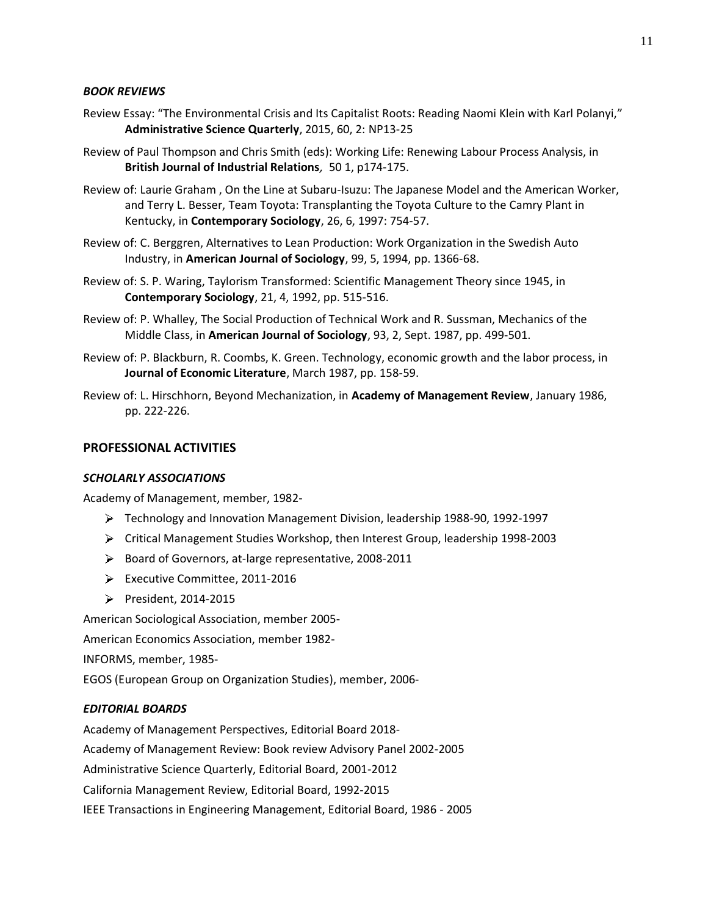## *BOOK REVIEWS*

- Review Essay: "The Environmental Crisis and Its Capitalist Roots: Reading Naomi Klein with Karl Polanyi," **Administrative Science Quarterly**, 2015, 60, 2: NP13-25
- Review of Paul Thompson and Chris Smith (eds): Working Life: Renewing Labour Process Analysis, in **British Journal of Industrial Relations***,* 50 1, p174-175.
- Review of: Laurie Graham , On the Line at Subaru-Isuzu: The Japanese Model and the American Worker, and Terry L. Besser, Team Toyota: Transplanting the Toyota Culture to the Camry Plant in Kentucky, in **Contemporary Sociology**, 26, 6, 1997: 754-57.
- Review of: C. Berggren, Alternatives to Lean Production: Work Organization in the Swedish Auto Industry, in **American Journal of Sociology**, 99, 5, 1994, pp. 1366-68.
- Review of: S. P. Waring, Taylorism Transformed: Scientific Management Theory since 1945, in **Contemporary Sociology**, 21, 4, 1992, pp. 515-516.
- Review of: P. Whalley, The Social Production of Technical Work and R. Sussman, Mechanics of the Middle Class, in **American Journal of Sociology**, 93, 2, Sept. 1987, pp. 499-501.
- Review of: P. Blackburn, R. Coombs, K. Green. Technology, economic growth and the labor process, in **Journal of Economic Literature**, March 1987, pp. 158-59.
- Review of: L. Hirschhorn, Beyond Mechanization, in **Academy of Management Review**, January 1986, pp. 222-226.

# **PROFESSIONAL ACTIVITIES**

## *SCHOLARLY ASSOCIATIONS*

Academy of Management, member, 1982-

- Technology and Innovation Management Division, leadership 1988-90, 1992-1997
- Critical Management Studies Workshop, then Interest Group, leadership 1998-2003
- ▶ Board of Governors, at-large representative, 2008-2011
- Executive Committee, 2011-2016
- President, 2014-2015

American Sociological Association, member 2005-

American Economics Association, member 1982-

INFORMS, member, 1985-

EGOS (European Group on Organization Studies), member, 2006-

## *EDITORIAL BOARDS*

Academy of Management Perspectives, Editorial Board 2018-

Academy of Management Review: Book review Advisory Panel 2002-2005

Administrative Science Quarterly, Editorial Board, 2001-2012

California Management Review, Editorial Board, 1992-2015

IEEE Transactions in Engineering Management, Editorial Board, 1986 - 2005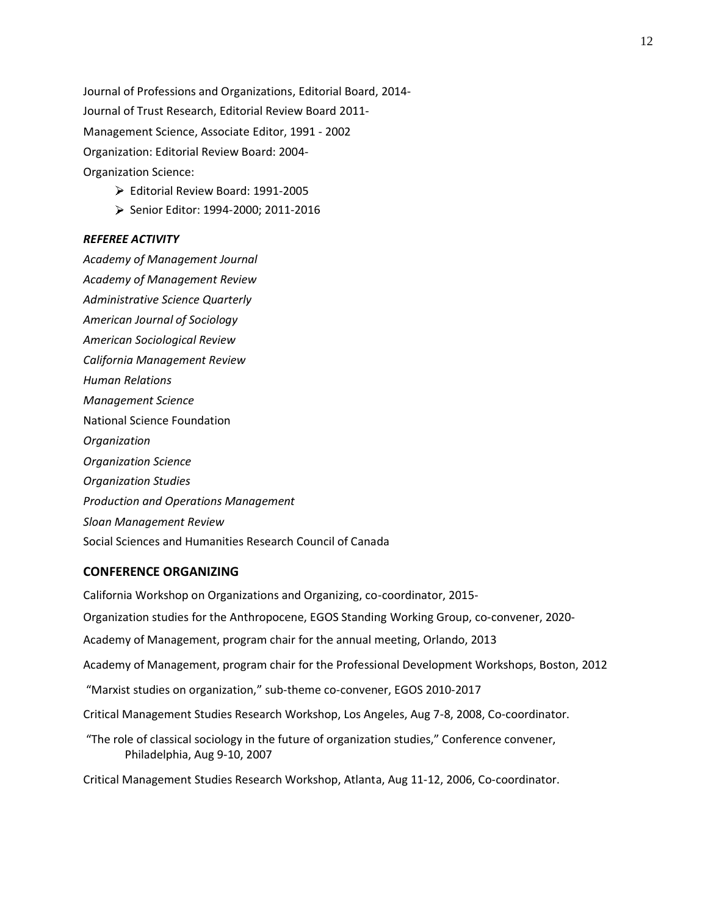Journal of Professions and Organizations, Editorial Board, 2014- Journal of Trust Research, Editorial Review Board 2011- Management Science, Associate Editor, 1991 - 2002 Organization: Editorial Review Board: 2004- Organization Science:

- Editorial Review Board: 1991-2005
- Senior Editor: 1994-2000; 2011-2016

#### *REFEREE ACTIVITY*

*Academy of Management Journal Academy of Management Review Administrative Science Quarterly American Journal of Sociology American Sociological Review California Management Review Human Relations Management Science*  National Science Foundation *Organization Organization Science Organization Studies Production and Operations Management Sloan Management Review* Social Sciences and Humanities Research Council of Canada

# **CONFERENCE ORGANIZING**

California Workshop on Organizations and Organizing, co-coordinator, 2015- Organization studies for the Anthropocene, EGOS Standing Working Group, co-convener, 2020- Academy of Management, program chair for the annual meeting, Orlando, 2013 Academy of Management, program chair for the Professional Development Workshops, Boston, 2012 "Marxist studies on organization," sub-theme co-convener, EGOS 2010-2017 Critical Management Studies Research Workshop, Los Angeles, Aug 7-8, 2008, Co-coordinator. "The role of classical sociology in the future of organization studies," Conference convener, Philadelphia, Aug 9-10, 2007 Critical Management Studies Research Workshop, Atlanta, Aug 11-12, 2006, Co-coordinator.